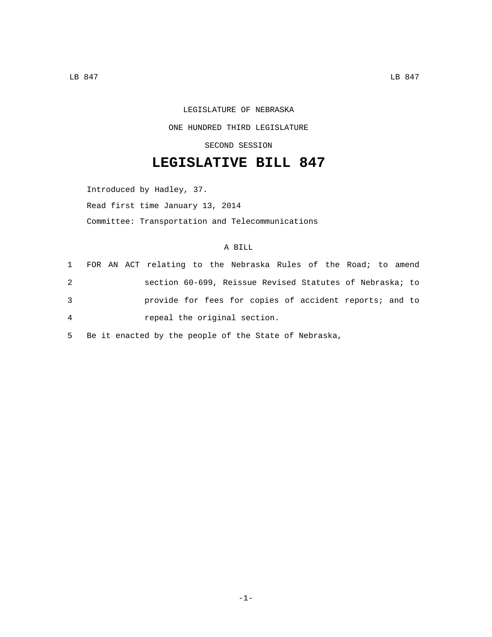## LEGISLATURE OF NEBRASKA ONE HUNDRED THIRD LEGISLATURE SECOND SESSION

## **LEGISLATIVE BILL 847**

Introduced by Hadley, 37. Read first time January 13, 2014 Committee: Transportation and Telecommunications

## A BILL

|   |  | 1 FOR AN ACT relating to the Nebraska Rules of the Road; to amend |  |  |  |  |  |  |
|---|--|-------------------------------------------------------------------|--|--|--|--|--|--|
| 2 |  | section 60-699, Reissue Revised Statutes of Nebraska; to          |  |  |  |  |  |  |
| 3 |  | provide for fees for copies of accident reports; and to           |  |  |  |  |  |  |
| 4 |  | repeal the original section.                                      |  |  |  |  |  |  |

5 Be it enacted by the people of the State of Nebraska,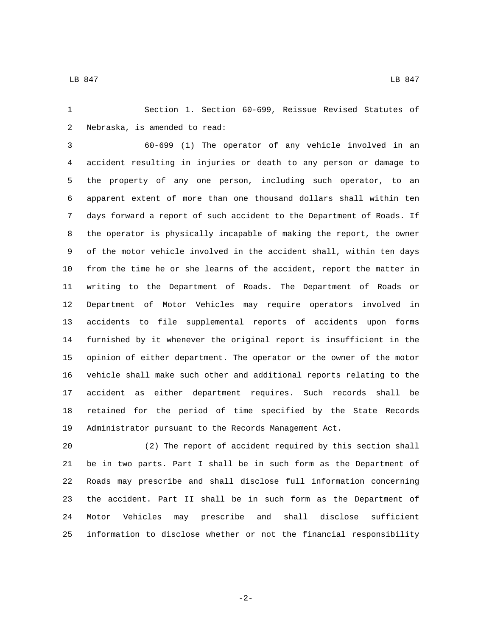Section 1. Section 60-699, Reissue Revised Statutes of 2 Nebraska, is amended to read:

 60-699 (1) The operator of any vehicle involved in an accident resulting in injuries or death to any person or damage to the property of any one person, including such operator, to an apparent extent of more than one thousand dollars shall within ten days forward a report of such accident to the Department of Roads. If the operator is physically incapable of making the report, the owner of the motor vehicle involved in the accident shall, within ten days from the time he or she learns of the accident, report the matter in writing to the Department of Roads. The Department of Roads or Department of Motor Vehicles may require operators involved in accidents to file supplemental reports of accidents upon forms furnished by it whenever the original report is insufficient in the opinion of either department. The operator or the owner of the motor vehicle shall make such other and additional reports relating to the accident as either department requires. Such records shall be retained for the period of time specified by the State Records Administrator pursuant to the Records Management Act.

 (2) The report of accident required by this section shall be in two parts. Part I shall be in such form as the Department of Roads may prescribe and shall disclose full information concerning the accident. Part II shall be in such form as the Department of Motor Vehicles may prescribe and shall disclose sufficient information to disclose whether or not the financial responsibility

-2-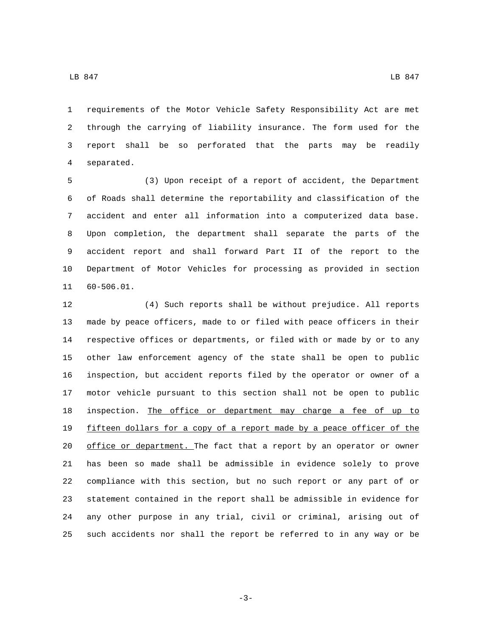requirements of the Motor Vehicle Safety Responsibility Act are met through the carrying of liability insurance. The form used for the report shall be so perforated that the parts may be readily 4 separated.

 (3) Upon receipt of a report of accident, the Department of Roads shall determine the reportability and classification of the accident and enter all information into a computerized data base. Upon completion, the department shall separate the parts of the accident report and shall forward Part II of the report to the Department of Motor Vehicles for processing as provided in section 11 60-506.01.

 (4) Such reports shall be without prejudice. All reports made by peace officers, made to or filed with peace officers in their respective offices or departments, or filed with or made by or to any other law enforcement agency of the state shall be open to public inspection, but accident reports filed by the operator or owner of a motor vehicle pursuant to this section shall not be open to public 18 inspection. The office or department may charge a fee of up to fifteen dollars for a copy of a report made by a peace officer of the 20 office or department. The fact that a report by an operator or owner has been so made shall be admissible in evidence solely to prove compliance with this section, but no such report or any part of or statement contained in the report shall be admissible in evidence for any other purpose in any trial, civil or criminal, arising out of such accidents nor shall the report be referred to in any way or be

-3-